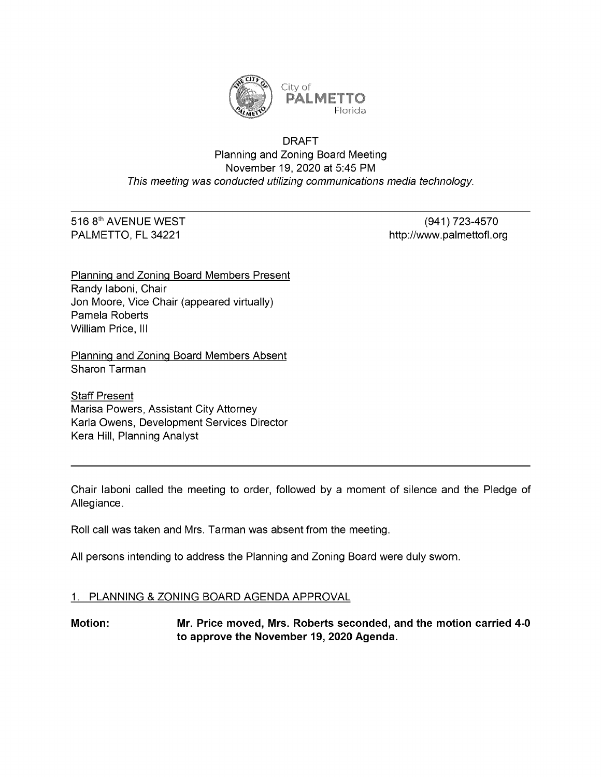

## DRAFT Planning and Zoning Board Meeting November 19, 2020 at 5:45 PM This meeting was conducted utilizing communications media technology.

**Florida** 

# 516 8<sup>th</sup> AVENUE WEST (941) 723-4570

PALMETTO, FL 34221 http://www.palmettofl.org/

Planning and Zoning Board Members Present Randy Iaboni, Chair Jon Moore, Vice Chair (appeared virtually) Pamela Roberts William Price, III

Planning and Zoning Board Members Absent Sharon Tarman

**Staff Present** Marisa Powers, Assistant City Attorney Karla Owens, Development Services Director Kera Hill, Planning Analyst

Chair laboni called the meeting to order, followed by a moment of silence and the Pledge of Allegiance.

Roll call was taken and Mrs. Tarman was absent from the meeting.

All persons intending to address the Planning and Zoning Board were duly sworn.

# 1. PLANNING & ZONING BOARD AGENDA APPROVAL

Motion: Mr. Price moved, Mrs. Roberts seconded, and the motion carried 4-0 to approve the November 19, 2020 Agenda.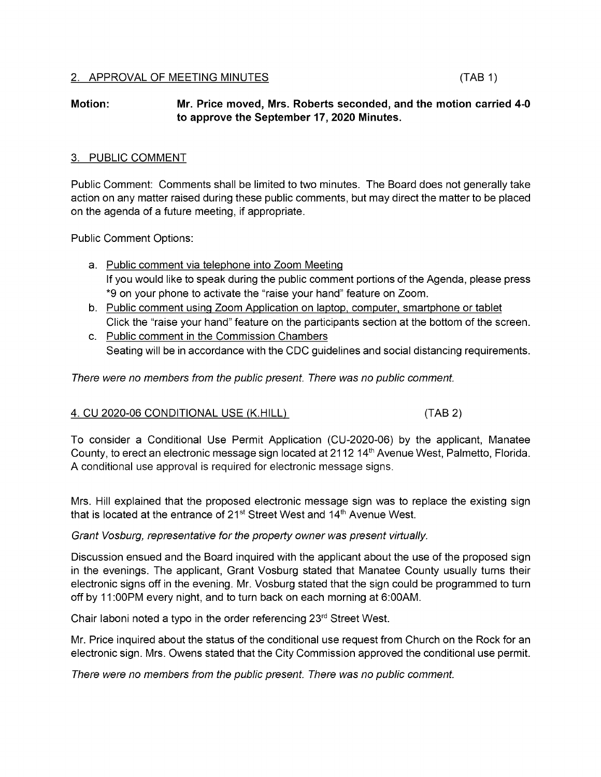#### Motion: Mr. Price moved, Mrs. Roberts seconded, and the motion carried 4-0 to approve the September 17, 2020 Minutes.

### 3. PUBLIC COMMENT

Public Comment: Comments shall be limited to two minutes. The Board does not generally take action on any matter raised during these public comments, but may direct the matter to be placed on the agenda of a future meeting, if appropriate.

Public Comment Options:

- a. Public comment via telephone into Zoom Meeting If you would like to speak during the public comment portions of the Agenda, please press \*9 on your phone to activate the "raise your hand" feature on Zoom.
- b. Public comment using Zoom Application on laptop, computer, smartphone or tablet Click the "raise your hand" feature on the participants section at the bottom of the screen.
- c. Public comment in the Commission Chambers Seating will be in accordance with the CDC guidelines and social distancing requirements.

There were no members from the public present. There was no public comment.

# 4. CU 2020-06 CONDITIONAL USE (K.HILL) (TAB 2)

To consider a Conditional Use Permit Application (CU-2020-06) by the applicant, Manatee County, to erect an electronic message sign located at 2112 14<sup>th</sup> Avenue West, Palmetto, Florida. A conditional use approval is required for electronic message signs.

Mrs. Hill explained that the proposed electronic message sign was to replace the existing sigr A conditional use approvants required for electronic message signs.<br>Mrs. Hill explained that the proposed electronic message sign was to re<br>that is located at the entrance of 21<sup>st</sup> Street West and 14<sup>th</sup> Avenue West.

#### Grant Vosburg, representative for the property owner was present virtually.

Discussion ensued and the Board inquired with the applicant about the use of the proposed sign in the evenings. The applicant, Grant Vosburg stated that Manatee County usually turns their electronic signs off in the evening. Mr. Vosburg stated that the sign could be programmed to turn off by 11:00PM every night, and to turn back on each morning at 6:00AM.

Chair laboni noted a typo in the order referencing  $23<sup>rd</sup>$  Street West.

Mr. Price inquired about the status of the conditional use request from Church on the Rock for an electronic sign. Mrs. Owens stated that the City Commission approved the conditional use permit.

There were no members from the public present. There was no public comment.